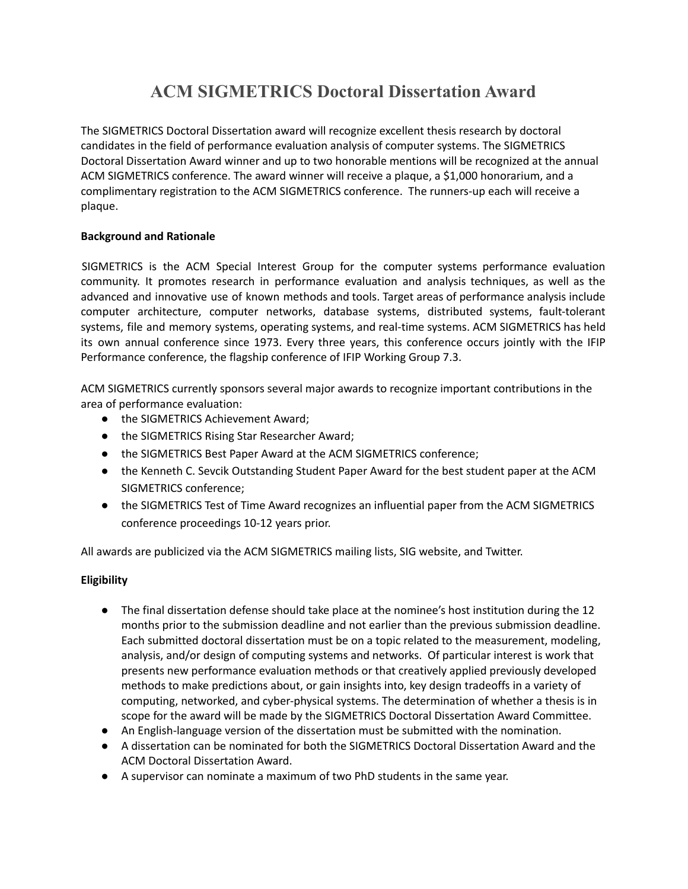# **ACM SIGMETRICS Doctoral Dissertation Award**

The SIGMETRICS Doctoral Dissertation award will recognize excellent thesis research by doctoral candidates in the field of performance evaluation analysis of computer systems. The SIGMETRICS Doctoral Dissertation Award winner and up to two honorable mentions will be recognized at the annual ACM SIGMETRICS conference. The award winner will receive a plaque, a \$1,000 honorarium, and a complimentary registration to the ACM SIGMETRICS conference. The runners-up each will receive a plaque.

# **Background and Rationale**

SIGMETRICS is the ACM Special Interest Group for the computer systems performance evaluation community. It promotes research in performance evaluation and analysis techniques, as well as the advanced and innovative use of known methods and tools. Target areas of performance analysis include computer architecture, computer networks, database systems, distributed systems, fault-tolerant systems, file and memory systems, operating systems, and real-time systems. ACM SIGMETRICS has held its own annual conference since 1973. Every three years, this conference occurs jointly with the IFIP Performance conference, the flagship conference of IFIP Working Group 7.3.

ACM SIGMETRICS currently sponsors several major awards to recognize important contributions in the area of performance evaluation:

- the SIGMETRICS Achievement Award;
- the SIGMETRICS Rising Star Researcher Award;
- the SIGMETRICS Best Paper Award at the ACM SIGMETRICS conference;
- the Kenneth C. Sevcik Outstanding Student Paper Award for the best student paper at the ACM SIGMETRICS conference;
- the SIGMETRICS Test of Time Award recognizes an influential paper from the ACM SIGMETRICS conference proceedings 10-12 years prior.

All awards are publicized via the ACM SIGMETRICS mailing lists, SIG website, and Twitter.

# **Eligibility**

- The final dissertation defense should take place at the nominee's host institution during the 12 months prior to the submission deadline and not earlier than the previous submission deadline. Each submitted doctoral dissertation must be on a topic related to the measurement, modeling, analysis, and/or design of computing systems and networks. Of particular interest is work that presents new performance evaluation methods or that creatively applied previously developed methods to make predictions about, or gain insights into, key design tradeoffs in a variety of computing, networked, and cyber-physical systems. The determination of whether a thesis is in scope for the award will be made by the SIGMETRICS Doctoral Dissertation Award Committee.
- An English-language version of the dissertation must be submitted with the nomination.
- A dissertation can be nominated for both the SIGMETRICS Doctoral Dissertation Award and the ACM Doctoral Dissertation Award.
- A supervisor can nominate a maximum of two PhD students in the same year.